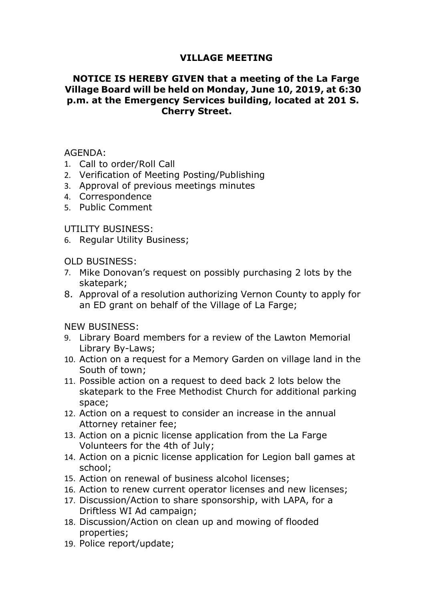## VILLAGE MEETING<br>IVEN that a meeting of the La Farge<br>Id on Monday, June 10, 2019, at 6:30<br>Services building, located at 201 S VILLAGE MEETING<br>NOTICE IS HEREBY GIVEN that a meeting of the La Farge<br>Illage Board will be held on Monday, June 10, 2019, at 6:30<br>.m. at the Emergency Services building, located at 201 S.<br>Cherry Street. VILLAGE MEETING<br>
NOTICE IS HEREBY GIVEN that a meeting of the La Farge<br>
Village Board will be held on Monday, June 10, 2019, at 6:30<br>
p.m. at the Emergency Services building, located at 201 S.<br>
Cherry Street. VILLAGE MEETING<br>NOTICE IS HEREBY GIVEN that a meeting of the La Farge<br>Village Board will be held on Monday, June 10, 2019, at 6:30<br>p.m. at the Emergency Services building, located at 201 S.<br>Cherry Street. VILLAGE MEETING<br>Y GIVEN that a meeting of the La Farge<br>e held on Monday, June 10, 2019, at 6:30<br>ncy Services building, located at 201 S.<br>Cherry Street. **VILLAGE MEETING<br>
NOTICE IS HEREBY GIVEN that a meeting of the La Farge<br>
Village Board will be held on Monday, June 10, 2019, at 6:30<br>
p.m. at the Emergency Services building, located at 201 S.<br>
Cherry Street.<br>
AGENDA:<br>
1.** VILLAGE MEETING<br>
NOTICE IS HEREBY GIVEN that a meeting of the La Farge<br>
Village Board will be held on Monday, June 10, 2019, at 6:30<br>
p.m. at the Emergency Services building, located at 201 S.<br>
Cherry Street.<br>
AGENDA:<br>
1. **VILLAGE MEETING<br>
NOTICE IS HEREBY GIVEN that a meeting of the La Farge<br>
Village Board will be held on Monday, June 10, 2019, at 6:30<br>
p.m. at the Emergency Services building, located at 201 S.<br>
Cherry Street.<br>
AGENDA:<br>
1. VILLAGE MEETING**<br> **NOTICE IS HEREBY GIVEN that a meeting of the La Fa**<br> **Village Board will be held on Monday, June 10, 2019, at 6**<br> **p.m. at the Emergency Services building, located at 20:**<br> **Cherry Street.**<br>
AGENDA:<br>
1. **VILLAGE MEETING**<br> **WILLAGE MEETING**<br> **VILLAGE MEETING**<br> **VIIIage Board will be held on Monday, June 10, 2019, at<br>
p.m. at the Emergency Services building, located at 20<br>** *Cherry Street.***<br>
AGENDA:<br>
1. Call to order/Roll Ca** VILLAGE MEETING<br>
VILLAGE MEETING<br>
Village Board will be held on Monday, June 10, 2019, at 6:30<br>
p.m. at the Emergency Services building, located at 201 S.<br>
Cherry Street.<br>
4. Call to order/Roll Call<br>
2. Verification of Mee **NOTICE IS HEREBY GIVEN that a meeting of the L<br>
Village Board will be held on Monday, June 10, 2019<br>
p.m. at the Emergency Services building, located a<br>
Cherry Street.<br>
AGENDA:<br>
1. Call to order/Roll Call<br>
2. Verification** Village Board will be held on Monday, June 10, 2019, at 6:30<br>
p.m. at the Emergency Services building, located at 201 S.<br>
Cherry Street.<br>
AGENDA:<br>
1. Call to order/Roll Call<br>
1. Call to order/Roll Call<br>
2. Verification of

AGENDA:

- 
- 
- 
- 4. Correspondence
- 

- skatepark;
- **Cherry Street.**<br> **Cherry Street.**<br>
1. Call to order/Roll Call<br>
2. Verification of Meeting Posting/Publishing<br>
3. Approval of previous meetings minutes<br>
5. Public Comment<br>
B. OLD BUSINESS:<br>
0. Regular Utility Business;<br>
7. ENDA:<br>
Call to order/Roll Call<br>
Verification of Meeting Posting/Publishing<br>
Approval of previous meetings minutes<br>
Correspondence<br>
Public Comment<br>
LITY BUSINESS:<br>
Regular Utility Business;<br>
DBUSINESS:<br>
Mike Donovan's reque

- AGENDA:<br>
1. Call to order/Roll Call<br>
2. Verification of Meeting Posting/Publishing<br>
3. Approval of previous meetings minutes<br>
4. Correspondence<br>
5. Public Comment<br>
UTILITY BUSINESS:<br>
6. Regular Utility Business;<br>
7. Mike D Call to order/Roll Call<br>Verification of Meeting Posting/Publishing<br>Approval of previous meetings minutes<br>Correspondence<br>Public Comment<br>LITY BUSINESS:<br>Regular Utility Business;<br>Desings Regular Utility Business;<br>Desings:<br>Nik
- AGENDA:<br>
1. Call to order/Roll Call<br>
2. Verification of Meeting Posting/Publishing<br>
3. Approval of previous meetings minutes<br>
4. Correspondence<br>
5. Public Comment<br>
1. UTILITY BUSINESS:<br>
6. Regular Utility Business;<br>
7. Mik
- 2. Verification of Meeting Posting/Publishing<br>
3. Approval of previous meetings minutes<br>
5. Public Comment<br>
UTILITY BUSINESS:<br>
6. Regular Utility Business;<br>
7. Mike Donovan's request on possibly purchasing 2 lots by the<br>
s Approval of previous meetings minutes<br>
Correspondence<br>
Public Comment<br>
LITY BUSINESS:<br>
Regular Utility Business;<br>
Nike Donovan's request on possibly purchasing 2 lots by the<br>
skatepark;<br>
Approval of a resolution authorizin 4. Correspondence<br>
5. Public Comment<br>
UTILITY BUSINESS:<br>
6. Regular Utility Business;<br>
7. Mike Donovan's request on possibly purchasing 2 lots by the<br>
skatepark;<br>
8. Approval of a resolution authorizing Vernon County to ap Public Comment<br>
LITY BUSINESS:<br>
Regular Utility Business;<br>
DBUSINESS:<br>
Mike Donovan's request on possibly purchasing 2 lots by the<br>
skatepark;<br>
Approval of a resolution authorizing Vernon County to apply for<br>
an ED grant o space; UTILITY BUSINESS:<br>
6. Regular Utility Business;<br>
7. Mike Donovan's request on possibly purchasing 2 lots by the<br>
skatepark;<br>
8. Approval of a resolution authorizing Vernon County to apply for<br>
an ED grant on behalf of the Regular Utility Business;<br>
D BUSINESS:<br>
Mike Donovan's request on possibly purchasing 2 lots by the<br>
skatepark;<br>
Approval of a resolution authorizing Vernon County to apply for<br>
an ED grant on behalf of the Village of La F OLD BUSINESS:<br>
7. Mike Donovan's request on possibly purchasing 2 lots by the<br>
skatepark;<br>
8. Approval of a resolution authorizing Vernon County to apply for<br>
an ED grant on behalf of the Village of La Farge;<br>
NEW BUSINESS D BUSINESS:<br>
Mike Donovan's request on possibly purchasing 2 lots by the<br>
skatepark;<br>
Skatepark;<br>
Approval of a resolution authorizing Vernon County to apply for<br>
an ED grant on behalf of the Village of La Farge;<br>
W BUSINE 7. Mike Donovan's request on possibly purchasing 2 lots by the<br>
skatepark;<br>
8. Approval of a resolution authorizing Vernon County to apply for<br>
an ED grant on behalf of the Village of La Farge;<br>
NEW BUSINESS:<br>
9. Library B 8. Approval of a resolution authorizing Vernon County to apply for<br>
an ED grant on behalf of the Village of La Farge;<br>
9. Library Board members for a review of the Lawton Memorial<br>
Library By-Laws;<br>
10. Action on a request an ED grant on behalf of the Village of La Farge;<br>
9. Library Board members for a review of the Lawton Memorial<br>
16. Library Board members for a review of the Lawton Memorial<br>
10. Action on a request for a Memory Garden on NEW BUSINESS:<br>
9. Library Board members for a review of the Lawton Memorial<br>
Library By-Laws;<br>
10. Action on a request for a Memory Garden on village land in the<br>
500th of town;<br>
11. Possible action on a request to deed ba M BUSINESS:<br>Library Board members for a review of the Lawton Memorial<br>Library Bo-Laws;<br>Action on a request for a Memory Garden on village land in the<br>South of town;<br>Possible action on a request to deed back 2 lots below th 9. Library Board members for a review of the Lawton Memorial<br>
10. Action on a request for a Memory Garden on village land in the<br>
50. Action on a request for a Memory Garden on village land in the<br>
50. Action on a request 10. Action on a request for a Memory Garden on village land in<br>
South of town;<br>
11. Possible action on a request to deed back 2 lots below the<br>
skatepark to the Free Methodist Church for additional park<br>
space;<br>
12. Action
- 
- 
- school;
- 
- 
- 
- properties;
-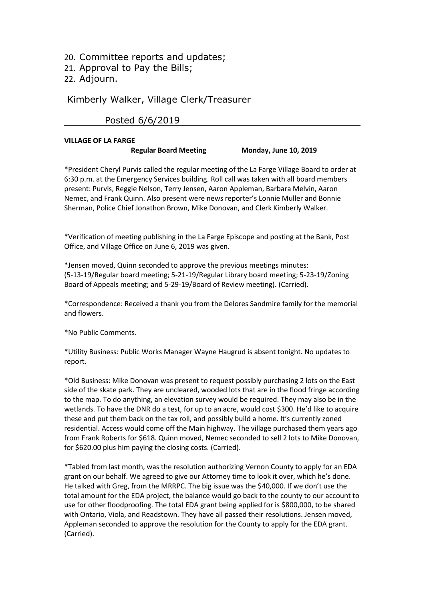- 20. Committee reports and updates;<br>21. Approval to Pay the Bills;<br>22. Adjourn.<br>Kimberly Walker, Village Clerk/Treasurer.
- 
- 22. Adjourn.

# 20. Committee reports and updates;<br>21. Approval to Pay the Bills;<br>22. Adjourn.<br>Kimberly Walker, Village Clerk/Treasurer Reports and updates;<br>
Martin Approval to Pay the Bills;<br>
Martin Walker, Village Clerk/Treasurer<br>
Rin Martin Posted 6/6/2019<br>
MAGE OF LA FARGE nittee reports and updates;<br>val to Pay the Bills;<br>rn.<br>/ Walker, Village Clerk/Treasurer<br>Posted 6/6/2019<br>LA FARGE Regular Board Meeting Monday, June 10, 2019

20. Committee reports and updates;<br>
21. Approval to Pay the Bills;<br>
22. Adjourn.<br>
Kimberly Walker, Village Clerk/Treasurer<br>
Posted 6/6/2019<br>
VILLAGE OF LA FARGE<br>
Regular Board Meeting Monday, June 10, 2019<br>
\*President Cher reports and updates;<br>
Pay the Bills;<br>
Regular Board Meeting<br>
E<br>
Regular Board Meeting<br>
Monday, June 10, 2019<br>
Figure Board Meeting<br>
Monday, June 10, 2019<br>
Trigency Services building. Roll call was taken with all board memb 20. Committee reports and updates;<br>
21. Approval to Pay the Bills;<br>
22. Adjourn.<br>
Kimberly Walker, Village Clerk/Treasurer<br>
Posted 6/6/2019<br>
"President Cheryl Purvis called the regular meeting of the La Farge Village Board 20. Committee reports and updates;<br>
22. Adjourn.<br>
Kimberly Walker, Village Clerk/Treasurer<br>
Posted 6/6/2019<br>
VILLAGE OF LA FARGE<br>
Regular Board Meeting Monday, June 10, 2019<br>
\*President Cheryl Purvis called the regular mee 20. Committee reports and updates;<br>
21. Approval to Pay the Bills;<br>
22. Adjourn.<br>
Kimberly Walker, Village Clerk/Treasurer<br>
Posted 6/6/2019<br>
"President Chry Purvis called the regular meeting of the La Farge Village Board t 20. Committee reports and updates;<br>
22. Adjourn.<br>
22. Adjourn.<br>
Kimberly Walker, Village Clerk/Treasurer<br>
Posted 6/6/2019<br>
VILLAGE OF LA FARGE<br>
Regular Board Meeting Monday, June 10, 2019<br>
"President Cheryl Purvis called t 20. Committee reports and updates;<br>
21. Approval to Pay the Bills;<br>
22. Adjourn.<br>
Kimberly Walker, Village Clerk/Treasurer<br>
Posted 6/6/2019<br>
<br>
"President Cheryl Purvis called the regular meeting of the La Farge Village Boa 20. Collininticet Feports anito updates;<br>
21. Approval to Pay the Bills;<br>
21. Adjourn.<br> **Example 19.** Western Organization of Meeting Monday, June 10, 2019<br>
<sup>4</sup>President Cheryl Puvis called the regular meeting of the La Fa 21. Approval to Pay the Bills;<br>
22. Adjourn.<br>
Example Clerk/Treasurer<br>
First Comment Contest on June 10, 2019<br>
The Societ of Comment Contest on The Comment of the La Farge Village Board to order at<br>
1976: The Society Purvi Kimberly Walker, Village Clerk/Treasurer<br>
Regular Board Meeting<br>
Regular Board Meeting<br>
Regular Board Meeting<br>
The president chery Purvis called the regular meeting of the La Farge Village Board to ender at<br>
16:30 p.m. at Kimberly Walker, Village Clerk/Treasurer<br>
Posted 6/6/2019<br>
VILLAGE OF LA FARGE<br>
Regular Board Meeting<br>
Regular Board Meeting<br>
The Side meeting of the La Farge Village Board to order at<br>
6:30 p.m. at the Emergency Services Posted 6/6/2019<br>
Regular Board Meeting<br>
Regular Board Meeting<br>
President Cheryl Purvis called the regular meeting of the La Farge Village Board to order at<br>
FOSE op.m. at the Emergency Services building. Roll call was take **Example 10**<br> **Example 10**<br> **Example 10**<br> **Regular Board Meeting Monday, June 10, 2019**<br> **President Cheryl Purvis called the regular meeting of the La Farge Village Board to order at<br>
6:30 p.m. at the Emergency Services VILLAGE OF LA FARGE**<br> **Regular Board Meeting Monday, June 10, 201**<br>
\*President Cheryl Purvis called the regular meeting of the La Farge Village Board Sof 9.m. at the Emergency Services building. Roll call was taken with \*President Cheryl Purus called the regular meeting of the La Farge Village Board to 6:30 p.m. at the Emergency Services building. Roll call was taken with all board mem<br>present: Purvis, Reggie Nelson, Terry Jensen, Aaron A 6:30 p.m. at the Emergency Services building. Roll call was taken with all board members<br>present: Purus, Reggie Nelson, Terry Jensen, Aaron Appleman, Barbara Melvin, Aaron<br>Nemec, and Frank Quinn. Also present were news rep

report.

Sherman, Police Chief Jonathon Brown, Mike Donovan, and Clerk Kimberly Walker.<br>
\*Verification of meeting publishing in the La Farge Episcope and posting at the Bank, Post<br>
office, and Village Office on June 6, 2019 was giv since of the skate park. They are uncleared, wooded lots that are in the flood frince, and Village Office on June 6, 2019 was given.<br>
"Jensen moved, Quinn seconded to approve the previous meetings minutes:<br>
"Jensen moved, \*Verification of meeting publishing in the La Farge Episcope and posting at the Bank, Post<br>Office, and Village Office on June 6, 2019 was given.<br>\*Jensen moved, Quinn seconded to approve the previous meetings minutes:<br>[5-13 \*Verification of meeting publishing in the La Farge Episcope and posting at the Bank, Post<br>Office, and Village Office on June 6, 2019 was given.<br>\*Jensen moved, Quinn seconded to approve the previous meetings minutes:<br>5-13-<sup>9</sup> Jensen moved, Quinn seconded to approve the previous meetings minutes:<br>
<sup>9</sup> Jensen moved, Quinn seconded to approve the previous meetings minutes:<br>
(5-13-19/Regular board meeting: 5-21-19/Regular Library board meeting; **The Same The Main Sconded to approach the previous meetings minutes:**<br> **The Same Movel, Quinn seconded to approve the previous meeting, 5-23-19/Zoning**<br> **EG-13-19/Regular board meeting; and 5-29-19/Board of Review meeting** \*Jensen moved, Quinn seconded to approve the previous meetings minutes:<br>(5-13-19/Regular board meteing: 5-21-19/Regular Library board meeting; 5-23-19/Zoning<br>Board of Appeals meeting; and 5-29-19/Readed of Review meeting). (5-13-19/Regular board meeting; 5-21-19/Regular Library board meeting; 5-23-19/Zoning<br>(5-13-19/Regular board meeting; 5-21-19/Regular Library board meeting; 5-23-19/Zoning<br>Board of Appeals meeting; and 5-29-19/Board of Rev \*\*Correspondence: Received a thank you from the Delores Sandmire family for the memorial<br>shadl flowers.<br>\*No Public Comments.<br>\*Urbity Business: Public Works Manager Wayne Haugrud is absent tonight. No updates to<br>report.<br>\*Ou \*Correspondence: Received a thank you from the Delores Sandmire family for the memorial<br>
and flowers.<br>
\*No Public Comments.<br>
\*Utility Business: Public Works Manager Wayne Haugrud is absent tonight. No updates to<br>
\*Utilit The Patition of the Main high same of the Main of the David Compact Corrected With Ontion of Carried (Carried).<br>
Cold Business: Nike Donovan was present to request possibly purchasing 2 lots on the East<br>
side of the skate <sup>211</sup><br>
<sup>211</sup> No Public Comments.<br>
<sup>4</sup> Utility Business: Public Works Manager Wayne Haugrud is absent tonight. No updates to<br>
<sup>4</sup> Otil Business: Mike Donovan was present to request possibly purchasing 2 lots on the East<br>
<sup>4</sup> \*No Public Comments.<br>\*Utility Business: Public Works Manager Wayne Haugrud is absent tonight. No updates to<br>report.<br>\*Old Business: Mike Donovan was present to request possibly purchasing 2 lots on the East<br>fold Business: M \*Utility Business: Public Works Manager Wayne Haugrud is absent tonight. No updates to<br>report.<br>\*Old Business: Mike Donovan was present to request possibly purchasing 2 lots on the East<br>side of the skate park. They are unc \*Utility Business: Public Works Manager Wayne Haugrud is absent tonight. No updates to<br>report.<br>\*Old Business: Mike Donovan was present to request possibly purchasing 2 lots on the East<br>side of the skate park. They are un

(Carried).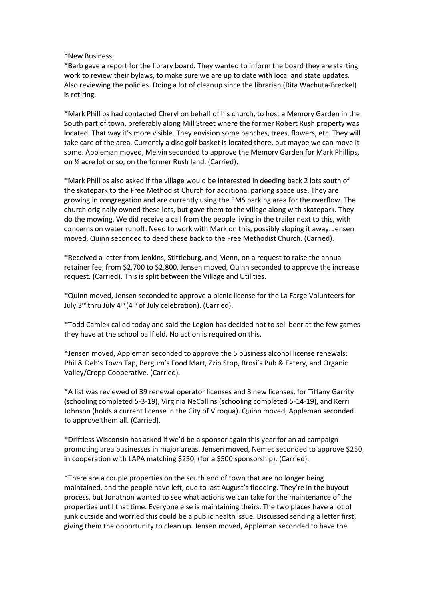\*New Business:<br>\*Barb gave a report for the library board. They wanted to inform the board they<br>work to review their bylaws, to make sure we are up to date with local and state<br>Also reviewing the policies. Doing a lot of cl \*New Business:<br>\*Barb gave a report for the library board. They wanted to inform the board they are starting<br>work to review their bylaws, to make sure we are up to date with local and state updates.<br>Also reviewing the polic New Business:<br>
\*Barb gave a report for the library board. They wanted to inform the board they are starting<br>
work to review their bylaws, to make sure we are up to date with local and state updates.<br>
Also reviewing the pol New Business:<br>
Narb gave a report for the library board. They wanted to inform the board they are starting<br>
work to review their bylaws, to make sure we are up to date with local and state updates.<br>
Also reviewing the poli

\*New Business:<br>\*Barb gave a report for the library board. They wanted to inform the board<br>work to review their bylaws, to make sure we are up to date with local and<br>Also reviewing the policies. Doing a lot of cleanup since \*New Business:<br>\*Barb gave a report for the library board. They wanted to inform the board they are starting<br>\*ork to review their bylaws, to make sure we are up to date with local and state updates.<br>Also reviewing the polic \*New Business:<br>\* are a report for the library board. They wanted to inform the board they are starting<br>work to review their bylaws, to make sure we are up to date with local and state updates.<br>Also reviewing the policies. <sup>\*</sup>New Business:<br><sup>\*</sup>New Business:<br><sup>\*</sup>Nerb gave a report for the library board. They wanted to inform the board they are starting<br>work to reviewing the policies. Doing a lot of cleanup since the librarian (Rita Wachuta-Brec \*New Business:<br>\*Barb gave a report for the library board. They wanted to inform the board they are starting<br>work to review their bylaws, to make sure we are up to date with local and state updates.<br>Also reviewing the polic \*New Business:<br>\*Barb gave a report for the library board. They wanted to inform the board they are starting<br>work to review their bylaws, to make sure we are up to date with local and state updates.<br>Also reviewing the polic \*New Business:<br>\*Barb gave a report for the library board. They wanted to inform the board they are starting<br>work to review their bylaws, to make sure we are up to date with local and state updates.<br>Also review their bylaws

\*New Business:<br>\*Bark gave a report for the library board. They wanted to inform the board they are starting<br>"work to review their bylaws, to make sure we are up to date with local and state updates.<br>Also reviewing the poli **\*New Business:**<br>**\***New Business:<br>**\*Barb gave a report for the library board. They wanted to inform the board they are starting<br>work to review their bylaws, to make sure we are up to date with local and state updates.<br>
Als** \*New Business:<br>\*Barb gave a report for the library board. They wanted to inform the board they are starting<br>work to review their bylaws, to make sure we are up to date with local and state updates.<br>Also reviewing the polic \*New Business:<br>\*Barb gave a report for the library board. They wanted to inform the board they are starting<br>work to reviewing the policies. Doing a lot of cleanup since the librarian (Rita Wachuta-Breckel)<br>is retiring.<br>\*Ma \*New Business:<br>\*Barb gave a report for the library board. They wanted to inform the board they are starting<br>work to review their bylaws, to make sure we are up to date with local and state updates.<br>Also reviewing the polic \*New Business:<br>\*Barb gave a report for the library board. They wanted to inform the board they are starting<br>\*Barb gave a report to review their bylaws, to make sure we are up to date with local and state updates.<br>Also revi "Barb gave a report for the library board. They wanted to inform the board they are starting work to review their bylaws, to make sure we are up to date with local and state updates.<br>Also reviewing the policies. Doing a lo Also reviewing the policies. Doing a lot of cleanup since the librarian (Rita Wachuta-Breckel)<br>is retiring.<br>"Mark Phillips had contacted Cheryl on behalf of his church, to host a Memory Garden in the<br>South part of town, pr is retiring.<br>
In stark Phillips had contacted Cheryl on behalf of his church, to host a Memory Garden in the South part of town, preferably along Mill Stretet where the former Robert Rush property was located. That way it' **Thus the mode of the mode of the model of this church, to host a Memory Garden in the South part of town, preferably along Mill Street where the former Robert Rush property was located. That way it's more visible. They e** South part of twom, preferably along Mill Street where the former Robert Rush property was<br>located. That way it's more visible: They envision some benches, trees, flowers, etc. They will<br>take care of the area. Currently a Iocated. That way it's more visible. They envision some benches, trees, flowers, etc. They will<br>take care of the area. Currently a disc goff basket is located there, but maybe we can move it<br>state care of the area. Current some. Appleman moved, Melvin seconded to approve the Memory Garden for Mark Phillips,<br>on % acre lot or so, on the former Rush land. (Carried).<br>"Mark Phillips also asked if the village would be interested in deeding back 2 on '*X* acre lot or so, on the former Rush land. (Carried).<br>
"Mark Phillips also asked if the village would be interested in deeding back 2 lots south of<br>
the skatepark to the Free Methodist Church for additional parking a \*Mark Phillips also asked if the village would be interested in deeding back 2 lots south of<br>the skatepark to the Free Methodist Church for additional parking space use. They are<br>growing in congregation and are currently u the skatepark to the Free Methodist Church for additional parking space use. They are<br>growing in congregation and are currently using the EMS parking area for the overflow. The<br>growing in congregation and are currently usi growing in congregation and are currently using the EMS parking area for the overflow. The chouge all from the everflow is the NS parking area for the overflow. The chouge all from the people living in the sillage along wi

do the mowing. We did receive a call from the people living in the trailer next to this, with<br>concerns on water runoff. Need to work with Mark on this, possibly sloping it away. Jensen<br>concerns on water runoff. Need to wea concerns on water runoff. Need to work with Mark on this, possibly sloping it away. Jensen<br>moved, Quinn seconded to deed these back to the Free Methodist Church. (Carried).<br>"Received a letter from Jenkins, Stittleburg, and moved, Quinn seconded to deed these back to the Free Methodist Church. (Carried).<br>
"Received a letter from Jenkins, Stittleburg, and Menn, on a request to raise the annual<br>
retainer fee, from \$2,700 to \$2,800. Jensen moved There is the approached to approve them all. (Carried).<br>
\*Received a letter from Jenkins, Stittleburg, and Menn, on a request to raise the annual<br>
request. (Carried). This is split between the Village and Utilities.<br>
\*Cuin retainer fee, from \$2,700 to \$2,800. Jensen moved, Quinn seconded to approve the increase<br>request. (Carried). This is split between the Village and Utilities.<br>"Quinn moved, Jensen seconded to approve a picnic license for t request. (Carried), This is split between the Village and Utilities.<br>
"Quinn moved, lensen seconded to approve a picnic license for the La Farge Volunteers for<br>
"Quinn moved, lensen seconded to approve a picnic license for

<sup>1</sup> **C**<sub>C</sub> (**A**) **C**<sub>C</sub> (**A**) **C**<sub>C</sub> (**A**) **C** (**A**) **C** (**A**) (**A**) (*A*) (*A*) (*A*) (*A*) (*A*) (*A*) (*A*) (*A*) (*A*) (*A*) (*A*) (*A*) (*A*) (*A*) (*A*) (*A*) (*A*) (*A*) (*A*) (*A*) (*A*) (*A*) (*A*) (*A*) (*A*) (*A* July 3<sup>rd</sup> thru July 4<sup>m</sup> (4<sup>th</sup> of July celebration). (Carried).<br>
<sup>\*</sup>Todd Camlek called today and said the Legion has decided not to sell beer at the few games<br>
they have at the school ballfield. No action is required on <sup>2</sup>Todd Camlek called today and said the Lepton has decided not to sell beer at the few games<br>
<sup>4</sup>Todd Camlek called today and said the Legton has decided not to sell beer at the few games<br>
<sup>4</sup>Lensen moved, Appleman second \*Todd Camlek called today and said the Legion has decided not to sell beer at the few games<br>they have at the school ballfield. No action is required on this.<br>\*Jensen moved, Appleman seconded to approve the 5 business alcoh they have at the school ballfield. No action is required on this.<br>
"Jensen moved, Appleman seconded to approve the 5 business alcohol license renewals:<br>
Phil & Deb's Town Tap, Bergum's Food Mart, Zzip Stop, Brosi's Pub & E "These moved, Appleman seconded to approve the 5 business alcohol license renewals:<br>"Phil & Deb's Town Tap, Bergum's Food Mart, Zzip Stop, Brosi's Pub & Eatery, and Organic<br>Valley/Cropp Cooperative. (Carried).<br>"A list was \*Jensen moved, Appleman seconded to approve the 5 business alcohol license renewals:<br>
Phil & Deb's Town Tap, Bergum's Food Mart, Zzip Stop, Brosi's Pub & Eatery, and Organic<br>
\*A list was reviewed of 39 renewal operator lic